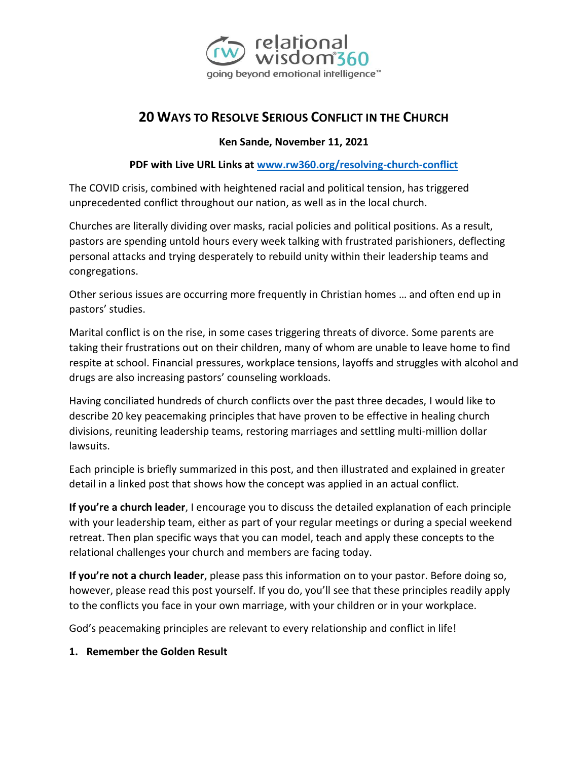

# **20 WAYS TO RESOLVE SERIOUS CONFLICT IN THE CHURCH**

#### **Ken Sande, November 11, 2021**

#### **PDF with Live URL Links at [www.rw360.org/resolving-church-conflict](http://www.rw360.org/resolving-church-conflict)**

The COVID crisis, combined with heightened racial and political tension, has triggered unprecedented conflict throughout our nation, as well as in the local church.

Churches are literally dividing over masks, racial policies and political positions. As a result, pastors are spending untold hours every week talking with frustrated parishioners, deflecting personal attacks and trying desperately to rebuild unity within their leadership teams and congregations.

Other serious issues are occurring more frequently in Christian homes … and often end up in pastors' studies.

Marital conflict is on the rise, in some cases triggering threats of divorce. Some parents are taking their frustrations out on their children, many of whom are unable to leave home to find respite at school. Financial pressures, workplace tensions, layoffs and struggles with alcohol and drugs are also increasing pastors' counseling workloads.

Having conciliated hundreds of church conflicts over the past three decades, I would like to describe 20 key peacemaking principles that have proven to be effective in healing church divisions, reuniting leadership teams, restoring marriages and settling multi-million dollar lawsuits.

Each principle is briefly summarized in this post, and then illustrated and explained in greater detail in a linked post that shows how the concept was applied in an actual conflict.

**If you're a church leader**, I encourage you to discuss the detailed explanation of each principle with your leadership team, either as part of your regular meetings or during a special weekend retreat. Then plan specific ways that you can model, teach and apply these concepts to the relational challenges your church and members are facing today.

**If you're not a church leader**, please pass this information on to your pastor. Before doing so, however, please read this post yourself. If you do, you'll see that these principles readily apply to the conflicts you face in your own marriage, with your children or in your workplace.

God's peacemaking principles are relevant to every relationship and conflict in life!

#### **1. Remember the Golden Result**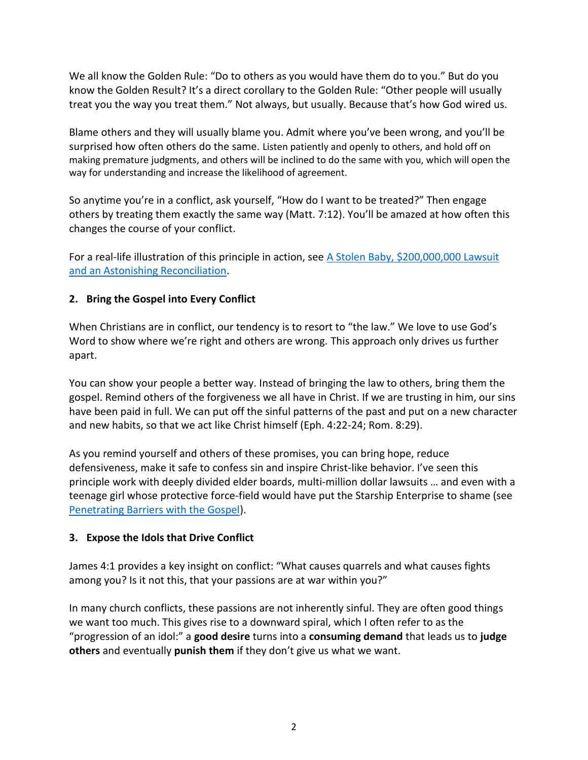We all know the Golden Rule: "Do to others as you would have them do to you." But do you know the Golden Result? It's a direct corollary to the Golden Rule: "Other people will usually treat you the way you treat them." Not always, but usually. Because that's how God wired us.

Blame others and they will usually blame you. Admit where you've been wrong, and you'll be surprised how often others do the same. Listen patiently and openly to others, and hold off on making premature judgments, and others will be inclined to do the same with you, which will open the way for understanding and increase the likelihood of agreement.

So anytime you're in a conflict, ask yourself, "How do I want to be treated?" Then engage others by treating them exactly the same way (Matt. 7:12). You'll be amazed at how often this changes the course of your conflict.

For a real-life illustration of this principle in action, see [A Stolen Baby,](https://rw360.org/2017/08/20/lost-baby-200m-lawsuit-astonishing-reconciliation/) \$200,000,000 Lawsuit [and an Astonishing Reconciliation.](https://rw360.org/2017/08/20/lost-baby-200m-lawsuit-astonishing-reconciliation/)

# **2. Bring the Gospel into Every Conflict**

When Christians are in conflict, our tendency is to resort to "the law." We love to use God's Word to show where we're right and others are wrong. This approach only drives us further apart.

You can show your people a better way. Instead of bringing the law to others, bring them the gospel. Remind others of the forgiveness we all have in Christ. If we are trusting in him, our sins have been paid in full. We can put off the sinful patterns of the past and put on a new character and new habits, so that we act like Christ himself (Eph. 4:22-24; Rom. 8:29).

As you remind yourself and others of these promises, you can bring hope, reduce defensiveness, make it safe to confess sin and inspire Christ-like behavior. I've seen this principle work with deeply divided elder boards, multi-million dollar lawsuits … and even with a teenage girl whose protective force-field would have put the Starship Enterprise to shame (see [Penetrating Barriers with the Gospel\)](https://rw360.org/2013/02/11/penetrating-barriers-with-the-gospel/).

### **3. Expose the Idols that Drive Conflict**

James 4:1 provides a key insight on conflict: "What causes quarrels and what causes fights among you? Is it not this, that your passions are at war within you?"

In many church conflicts, these passions are not inherently sinful. They are often good things we want too much. This gives rise to a downward spiral, which I often refer to as the "progression of an idol:" a **good desire** turns into a **consuming demand** that leads us to **judge others** and eventually **punish them** if they don't give us what we want.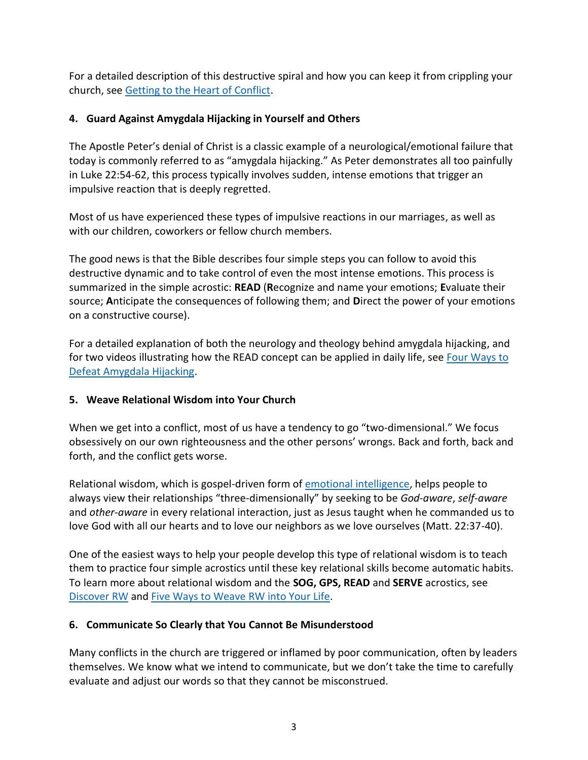For a detailed description of this destructive spiral and how you can keep it from crippling your church, see [Getting to the Heart of Conflict.](https://rw360.org/getting-to-the-heart-of-conflict/)

# **4. Guard Against Amygdala Hijacking in Yourself and Others**

The Apostle Peter's denial of Christ is a classic example of a neurological/emotional failure that today is commonly referred to as "amygdala hijacking." As Peter demonstrates all too painfully in Luke 22:54-62, this process typically involves sudden, intense emotions that trigger an impulsive reaction that is deeply regretted.

Most of us have experienced these types of impulsive reactions in our marriages, as well as with our children, coworkers or fellow church members.

The good news is that the Bible describes four simple steps you can follow to avoid this destructive dynamic and to take control of even the most intense emotions. This process is summarized in the simple acrostic: **READ** (**R**ecognize and name your emotions; **E**valuate their source; **A**nticipate the consequences of following them; and **D**irect the power of your emotions on a constructive course).

For a detailed explanation of both the neurology and theology behind amygdala hijacking, and for two videos illustrating how the READ concept can be applied in daily life, see Four Ways to [Defeat Amygdala Hijacking.](https://rw360.org/2014/05/19/four-ways-defeat-hijacking/)

### **5. Weave Relational Wisdom into Your Church**

When we get into a conflict, most of us have a tendency to go "two-dimensional." We focus obsessively on our own righteousness and the other persons' wrongs. Back and forth, back and forth, and the conflict gets worse.

Relational wisdom, which is gospel-driven form of [emotional intelligence,](https://rw360.org/emotional-intelligence/) helps people to always view their relationships "three-dimensionally" by seeking to be *God-aware*, *self-aware* and *other-aware* in every relational interaction, just as Jesus taught when he commanded us to love God with all our hearts and to love our neighbors as we love ourselves (Matt. 22:37-40).

One of the easiest ways to help your people develop this type of relational wisdom is to teach them to practice four simple acrostics until these key relational skills become automatic habits. To learn more about relational wisdom and the **SOG, GPS, READ** and **SERVE** acrostics, see [Discover RW](http://www.rw360.org/) and [Five Ways to Weave](https://rw360.org/2017/07/16/five-ways-weave-rw-life/) RW into Your Life.

### **6. Communicate So Clearly that You Cannot Be Misunderstood**

Many conflicts in the church are triggered or inflamed by poor communication, often by leaders themselves. We know what we intend to communicate, but we don't take the time to carefully evaluate and adjust our words so that they cannot be misconstrued.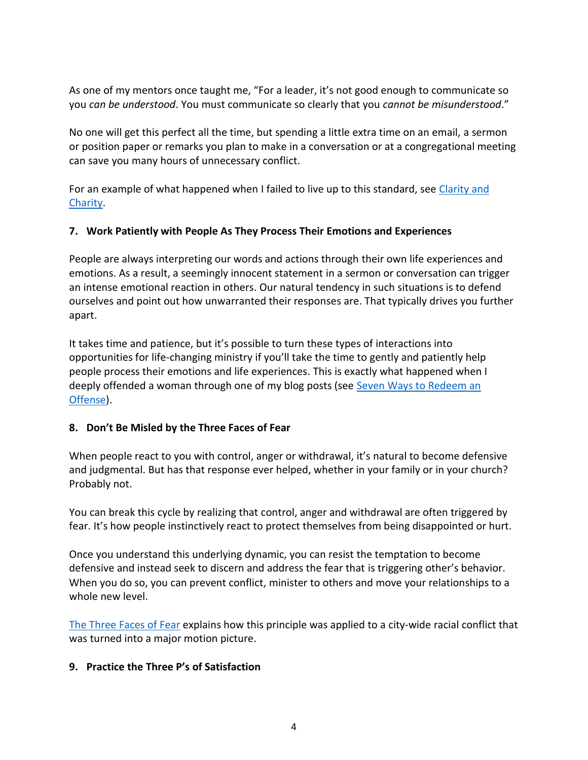As one of my mentors once taught me, "For a leader, it's not good enough to communicate so you *can be understood*. You must communicate so clearly that you *cannot be misunderstood*."

No one will get this perfect all the time, but spending a little extra time on an email, a sermon or position paper or remarks you plan to make in a conversation or at a congregational meeting can save you many hours of unnecessary conflict.

For an example of what happened when I failed to live up to this standard, see Clarity and [Charity.](https://rw360.org/2013/04/07/clarity-plus-charity/)

### **7. Work Patiently with People As They Process Their Emotions and Experiences**

People are always interpreting our words and actions through their own life experiences and emotions. As a result, a seemingly innocent statement in a sermon or conversation can trigger an intense emotional reaction in others. Our natural tendency in such situations is to defend ourselves and point out how unwarranted their responses are. That typically drives you further apart.

It takes time and patience, but it's possible to turn these types of interactions into opportunities for life-changing ministry if you'll take the time to gently and patiently help people process their emotions and life experiences. This is exactly what happened when I deeply offended a woman through one of my blog posts (see Seven Ways to Redeem an [Offense\)](https://rw360.org/2018/12/17/7-ways-to-redeem-an-offense/).

### **8. Don't Be Misled by the Three Faces of Fear**

When people react to you with control, anger or withdrawal, it's natural to become defensive and judgmental. But has that response ever helped, whether in your family or in your church? Probably not.

You can break this cycle by realizing that control, anger and withdrawal are often triggered by fear. It's how people instinctively react to protect themselves from being disappointed or hurt.

Once you understand this underlying dynamic, you can resist the temptation to become defensive and instead seek to discern and address the fear that is triggering other's behavior. When you do so, you can prevent conflict, minister to others and move your relationships to a whole new level.

[The Three Faces of Fear](https://rw360.org/2015/02/08/three-faces-fear/) explains how this principle was applied to a city-wide racial conflict that was turned into a major motion picture.

### **9. Practice the Three P's of Satisfaction**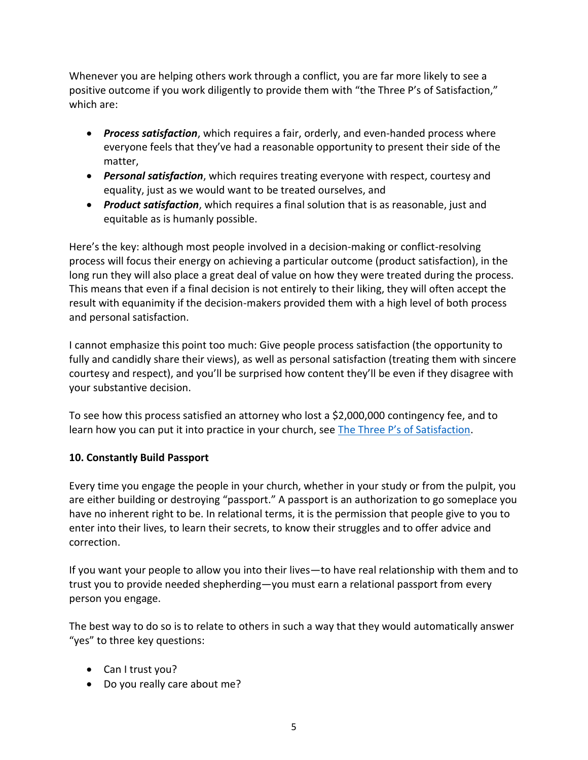Whenever you are helping others work through a conflict, you are far more likely to see a positive outcome if you work diligently to provide them with "the Three P's of Satisfaction," which are:

- *Process satisfaction*, which requires a fair, orderly, and even-handed process where everyone feels that they've had a reasonable opportunity to present their side of the matter,
- *Personal satisfaction*, which requires treating everyone with respect, courtesy and equality, just as we would want to be treated ourselves, and
- *Product satisfaction*, which requires a final solution that is as reasonable, just and equitable as is humanly possible.

Here's the key: although most people involved in a decision-making or conflict-resolving process will focus their energy on achieving a particular outcome (product satisfaction), in the long run they will also place a great deal of value on how they were treated during the process. This means that even if a final decision is not entirely to their liking, they will often accept the result with equanimity if the decision-makers provided them with a high level of both process and personal satisfaction.

I cannot emphasize this point too much: Give people process satisfaction (the opportunity to fully and candidly share their views), as well as personal satisfaction (treating them with sincere courtesy and respect), and you'll be surprised how content they'll be even if they disagree with your substantive decision.

To see how this process satisfied an attorney who lost a \$2,000,000 contingency fee, and to learn how you can put it into practice in your church, see [The Three P's of Satisfaction](https://rw360.org/2016/05/10/the-3-ps-of-satisfaction/).

# **10. Constantly Build Passport**

Every time you engage the people in your church, whether in your study or from the pulpit, you are either building or destroying "passport." A passport is an authorization to go someplace you have no inherent right to be. In relational terms, it is the permission that people give to you to enter into their lives, to learn their secrets, to know their struggles and to offer advice and correction.

If you want your people to allow you into their lives—to have real relationship with them and to trust you to provide needed shepherding—you must earn a relational passport from every person you engage.

The best way to do so is to relate to others in such a way that they would automatically answer "yes" to three key questions:

- Can I trust you?
- Do you really care about me?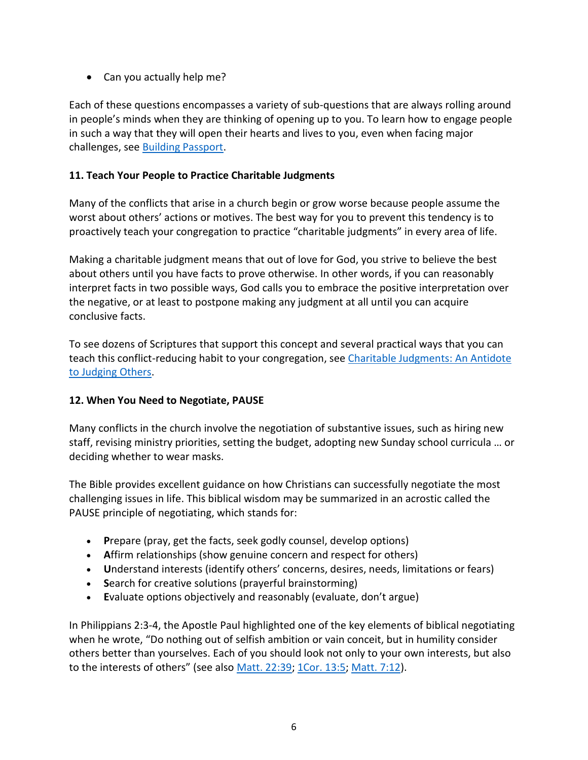Can you actually help me?

Each of these questions encompasses a variety of sub-questions that are always rolling around in people's minds when they are thinking of opening up to you. To learn how to engage people in such a way that they will open their hearts and lives to you, even when facing major challenges, see [Building Passport.](https://rw360.org/2017/12/29/building-passport-2/)

## **11. Teach Your People to Practice Charitable Judgments**

Many of the conflicts that arise in a church begin or grow worse because people assume the worst about others' actions or motives. The best way for you to prevent this tendency is to proactively teach your congregation to practice "charitable judgments" in every area of life.

Making a charitable judgment means that out of love for God, you strive to believe the best about others until you have facts to prove otherwise. In other words, if you can reasonably interpret facts in two possible ways, God calls you to embrace the positive interpretation over the negative, or at least to postpone making any judgment at all until you can acquire conclusive facts.

To see dozens of Scriptures that support this concept and several practical ways that you can teach this conflict-reducing habit to your congregation, see Charitable Judgments: An Antidote [to Judging Others.](https://rw360.org/2013/03/07/charitable-judgements-an-antidote-to-judging-others/)

### **12. When You Need to Negotiate, PAUSE**

Many conflicts in the church involve the negotiation of substantive issues, such as hiring new staff, revising ministry priorities, setting the budget, adopting new Sunday school curricula … or deciding whether to wear masks.

The Bible provides excellent guidance on how Christians can successfully negotiate the most challenging issues in life. This biblical wisdom may be summarized in an acrostic called the PAUSE principle of negotiating, which stands for:

- **P**repare (pray, get the facts, seek godly counsel, develop options)
- **A**ffirm relationships (show genuine concern and respect for others)
- **U**nderstand interests (identify others' concerns, desires, needs, limitations or fears)
- **S**earch for creative solutions (prayerful brainstorming)
- **E**valuate options objectively and reasonably (evaluate, don't argue)

In Philippians 2:3-4, the Apostle Paul highlighted one of the key elements of biblical negotiating when he wrote, "Do nothing out of selfish ambition or vain conceit, but in humility consider others better than yourselves. Each of you should look not only to your own interests, but also to the interests of others" (see also [Matt. 22:39;](https://biblia.com/bible/esv/Matt.%2022.39) [1Cor. 13:5;](https://biblia.com/bible/esv/1%20Cor.%2013.5) [Matt. 7:12\)](https://biblia.com/bible/esv/Matt.%207.12).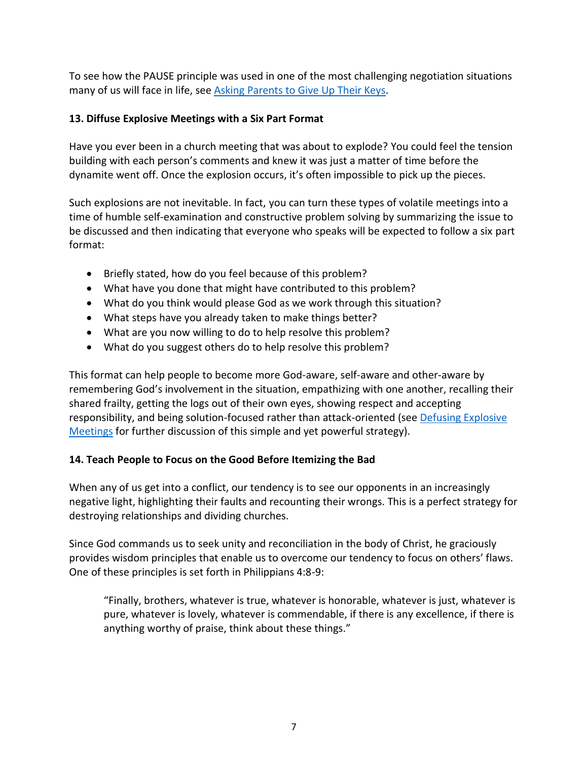To see how the PAUSE principle was used in one of the most challenging negotiation situations many of us will face in life, see [Asking Parents to Give Up Their Keys.](https://rw360.org/2016/02/21/8705/)

# **13. Diffuse Explosive Meetings with a Six Part Format**

Have you ever been in a church meeting that was about to explode? You could feel the tension building with each person's comments and knew it was just a matter of time before the dynamite went off. Once the explosion occurs, it's often impossible to pick up the pieces.

Such explosions are not inevitable. In fact, you can turn these types of volatile meetings into a time of humble self-examination and constructive problem solving by summarizing the issue to be discussed and then indicating that everyone who speaks will be expected to follow a six part format:

- Briefly stated, how do you feel because of this problem?
- What have you done that might have contributed to this problem?
- What do you think would please God as we work through this situation?
- What steps have you already taken to make things better?
- What are you now willing to do to help resolve this problem?
- What do you suggest others do to help resolve this problem?

This format can help people to become more God-aware, self-aware and other-aware by remembering God's involvement in the situation, empathizing with one another, recalling their shared frailty, getting the logs out of their own eyes, showing respect and accepting responsibility, and being solution-focused rather than attack-oriented (see [Defusing Explosive](https://rw360.org/2017/07/23/defusing-explosive-meetings-2/)  [Meetings](https://rw360.org/2017/07/23/defusing-explosive-meetings-2/) for further discussion of this simple and yet powerful strategy).

### **14. Teach People to Focus on the Good Before Itemizing the Bad**

When any of us get into a conflict, our tendency is to see our opponents in an increasingly negative light, highlighting their faults and recounting their wrongs. This is a perfect strategy for destroying relationships and dividing churches.

Since God commands us to seek unity and reconciliation in the body of Christ, he graciously provides wisdom principles that enable us to overcome our tendency to focus on others' flaws. One of these principles is set forth in Philippians 4:8-9:

"Finally, brothers, whatever is true, whatever is honorable, whatever is just, whatever is pure, whatever is lovely, whatever is commendable, if there is any excellence, if there is anything worthy of praise, think about these things."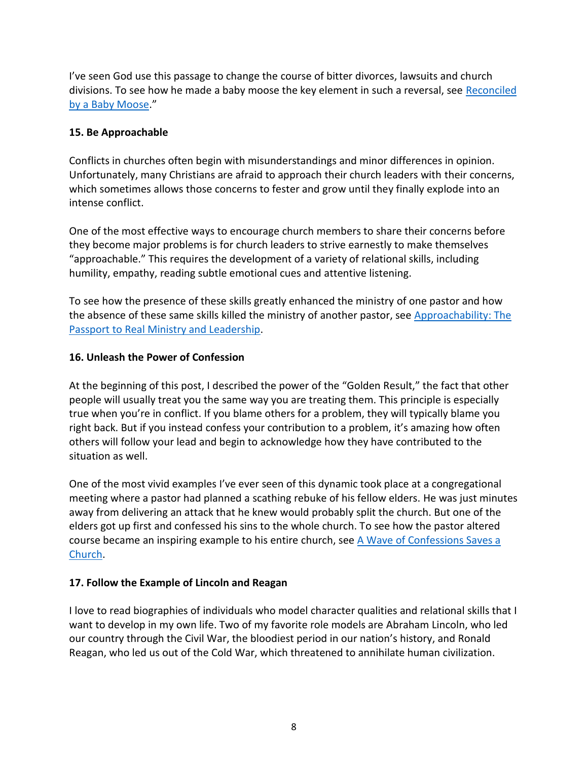I've seen God use this passage to change the course of bitter divorces, lawsuits and church divisions. To see how he made a baby moose the key element in such a reversal, see [Reconciled](https://rw360.org/2016/10/03/reconciled-baby-moose/)  [by a Baby Moose](https://rw360.org/2016/10/03/reconciled-baby-moose/)."

# **15. Be Approachable**

Conflicts in churches often begin with misunderstandings and minor differences in opinion. Unfortunately, many Christians are afraid to approach their church leaders with their concerns, which sometimes allows those concerns to fester and grow until they finally explode into an intense conflict.

One of the most effective ways to encourage church members to share their concerns before they become major problems is for church leaders to strive earnestly to make themselves "approachable." This requires the development of a variety of relational skills, including humility, empathy, reading subtle emotional cues and attentive listening.

To see how the presence of these skills greatly enhanced the ministry of one pastor and how the absence of these same skills killed the ministry of another pastor, see [Approachability: The](https://rw360.org/2014/07/21/approachability-passport-real-ministry-leadership/)  [Passport to Real Ministry and Leadership.](https://rw360.org/2014/07/21/approachability-passport-real-ministry-leadership/)

# **16. Unleash the Power of Confession**

At the beginning of this post, I described the power of the "Golden Result," the fact that other people will usually treat you the same way you are treating them. This principle is especially true when you're in conflict. If you blame others for a problem, they will typically blame you right back. But if you instead confess your contribution to a problem, it's amazing how often others will follow your lead and begin to acknowledge how they have contributed to the situation as well.

One of the most vivid examples I've ever seen of this dynamic took place at a congregational meeting where a pastor had planned a scathing rebuke of his fellow elders. He was just minutes away from delivering an attack that he knew would probably split the church. But one of the elders got up first and confessed his sins to the whole church. To see how the pastor altered course became an inspiring example to his entire church, see [A Wave of Confessions Saves a](https://rw360.org/2018/03/12/a-wave-of-confessions-saves-a-church/)  [Church.](https://rw360.org/2018/03/12/a-wave-of-confessions-saves-a-church/)

# **17. Follow the Example of Lincoln and Reagan**

I love to read biographies of individuals who model character qualities and relational skills that I want to develop in my own life. Two of my favorite role models are Abraham Lincoln, who led our country through the Civil War, the bloodiest period in our nation's history, and Ronald Reagan, who led us out of the Cold War, which threatened to annihilate human civilization.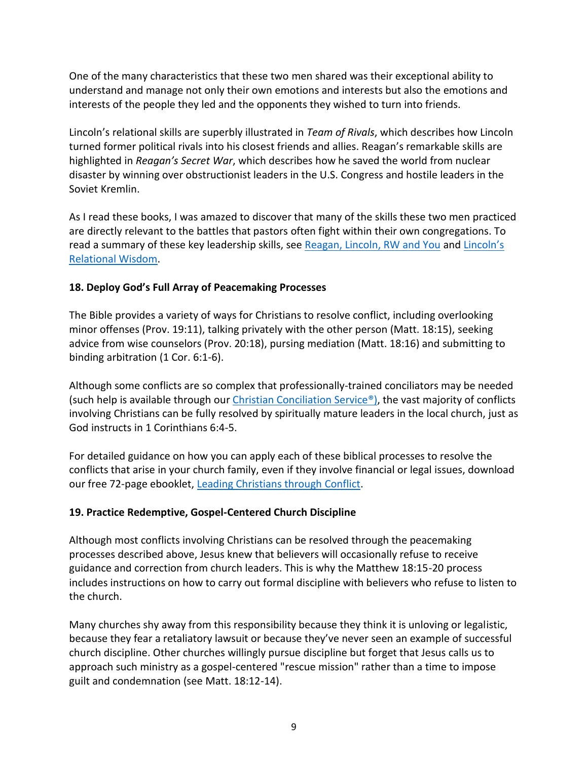One of the many characteristics that these two men shared was their exceptional ability to understand and manage not only their own emotions and interests but also the emotions and interests of the people they led and the opponents they wished to turn into friends.

Lincoln's relational skills are superbly illustrated in *Team of Rivals*, which describes how Lincoln turned former political rivals into his closest friends and allies. Reagan's remarkable skills are highlighted in *Reagan's Secret War*, which describes how he saved the world from nuclear disaster by winning over obstructionist leaders in the U.S. Congress and hostile leaders in the Soviet Kremlin.

As I read these books, I was amazed to discover that many of the skills these two men practiced are directly relevant to the battles that pastors often fight within their own congregations. To read a summary of these key leadership skills, see [Reagan, Lincoln, RW and You](https://rw360.org/2018/02/27/reagan-lincoln-rw-2/) and [Lincoln's](https://rw360.org/2018/03/05/politics-pride-and-emotion-2/)  [Relational Wisdom.](https://rw360.org/2018/03/05/politics-pride-and-emotion-2/)

### **18. Deploy God's Full Array of Peacemaking Processes**

The Bible provides a variety of ways for Christians to resolve conflict, including overlooking minor offenses (Prov. 19:11), talking privately with the other person (Matt. 18:15), seeking advice from wise counselors (Prov. 20:18), pursing mediation (Matt. 18:16) and submitting to binding arbitration (1 Cor. 6:1-6).

Although some conflicts are so complex that professionally-trained conciliators may be needed (such help is available through our [Christian Conciliation Service®\),](https://rw360.org/christian-conciliation-service/) the vast majority of conflicts involving Christians can be fully resolved by spiritually mature leaders in the local church, just as God instructs in 1 Corinthians 6:4-5.

For detailed guidance on how you can apply each of these biblical processes to resolve the conflicts that arise in your church family, even if they involve financial or legal issues, download our free 72-page ebooklet, [Leading Christians through](https://rw360.org/christian-conciliation-service/) Conflict.

### **19. Practice Redemptive, Gospel-Centered Church Discipline**

Although most conflicts involving Christians can be resolved through the peacemaking processes described above, Jesus knew that believers will occasionally refuse to receive guidance and correction from church leaders. This is why the Matthew 18:15-20 process includes instructions on how to carry out formal discipline with believers who refuse to listen to the church.

Many churches shy away from this responsibility because they think it is unloving or legalistic, because they fear a retaliatory lawsuit or because they've never seen an example of successful church discipline. Other churches willingly pursue discipline but forget that Jesus calls us to approach such ministry as a gospel-centered "rescue mission" rather than a time to impose guilt and condemnation (see Matt. 18:12-14).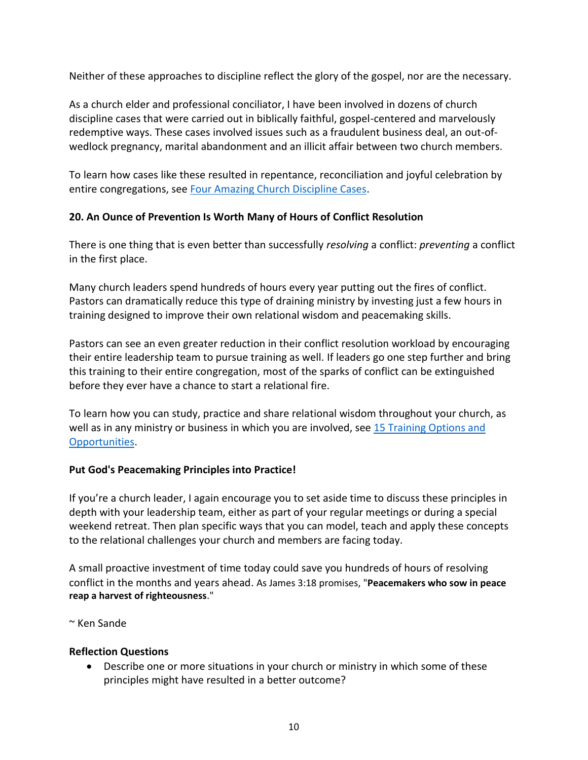Neither of these approaches to discipline reflect the glory of the gospel, nor are the necessary.

As a church elder and professional conciliator, I have been involved in dozens of church discipline cases that were carried out in biblically faithful, gospel-centered and marvelously redemptive ways. These cases involved issues such as a fraudulent business deal, an out-ofwedlock pregnancy, marital abandonment and an illicit affair between two church members.

To learn how cases like these resulted in repentance, reconciliation and joyful celebration by entire congregations, see [Four Amazing Church Discipline Cases.](https://rw360.org/2020/06/23/four-amazing-church-discipline-cases/)

# **20. An Ounce of Prevention Is Worth Many of Hours of Conflict Resolution**

There is one thing that is even better than successfully *resolving* a conflict: *preventing* a conflict in the first place.

Many church leaders spend hundreds of hours every year putting out the fires of conflict. Pastors can dramatically reduce this type of draining ministry by investing just a few hours in training designed to improve their own relational wisdom and peacemaking skills.

Pastors can see an even greater reduction in their conflict resolution workload by encouraging their entire leadership team to pursue training as well. If leaders go one step further and bring this training to their entire congregation, most of the sparks of conflict can be extinguished before they ever have a chance to start a relational fire.

To learn how you can study, practice and share relational wisdom throughout your church, as well as in any ministry or business in which you are involved, see [15 Training Options and](https://rw360.org/training-options/)  [Opportunities.](https://rw360.org/training-options/)

### **Put God's Peacemaking Principles into Practice!**

If you're a church leader, I again encourage you to set aside time to discuss these principles in depth with your leadership team, either as part of your regular meetings or during a special weekend retreat. Then plan specific ways that you can model, teach and apply these concepts to the relational challenges your church and members are facing today.

A small proactive investment of time today could save you hundreds of hours of resolving conflict in the months and years ahead. As James 3:18 promises, "**Peacemakers who sow in peace reap a harvest of righteousness**."

~ Ken Sande

### **Reflection Questions**

 Describe one or more situations in your church or ministry in which some of these principles might have resulted in a better outcome?